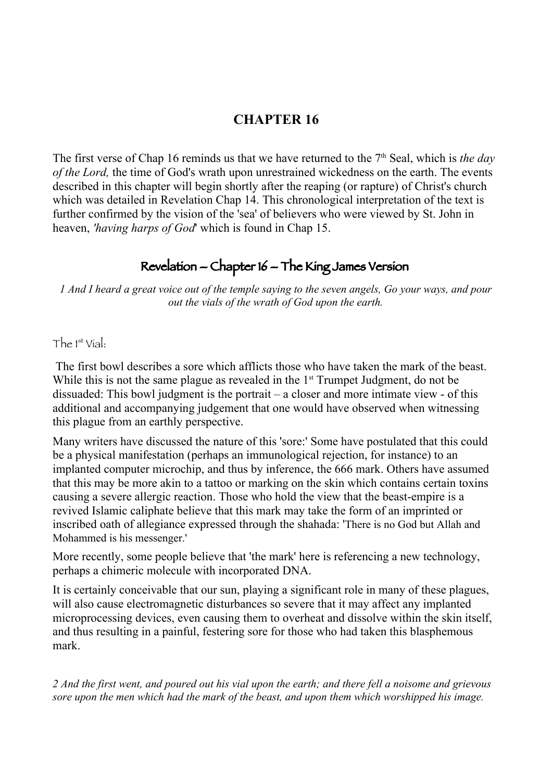# **CHAPTER 16**

The first verse of Chap 16 reminds us that we have returned to the 7<sup>th</sup> Seal, which is *the day of the Lord,* the time of God's wrath upon unrestrained wickedness on the earth. The events described in this chapter will begin shortly after the reaping (or rapture) of Christ's church which was detailed in Revelation Chap 14. This chronological interpretation of the text is further confirmed by the vision of the 'sea' of believers who were viewed by St. John in heaven, *'having harps of God*' which is found in Chap 15.

# Revelation – Chapter 16 – The King James Version

*1 And I heard a great voice out of the temple saying to the seven angels, Go your ways, and pour out the vials of the wrath of God upon the earth.*

 $The 1<sup>st</sup> Vial.$ 

 The first bowl describes a sore which afflicts those who have taken the mark of the beast. While this is not the same plague as revealed in the  $1<sup>st</sup>$  Trumpet Judgment, do not be dissuaded: This bowl judgment is the portrait – a closer and more intimate view - of this additional and accompanying judgement that one would have observed when witnessing this plague from an earthly perspective.

Many writers have discussed the nature of this 'sore:' Some have postulated that this could be a physical manifestation (perhaps an immunological rejection, for instance) to an implanted computer microchip, and thus by inference, the 666 mark. Others have assumed that this may be more akin to a tattoo or marking on the skin which contains certain toxins causing a severe allergic reaction. Those who hold the view that the beast-empire is a revived Islamic caliphate believe that this mark may take the form of an imprinted or inscribed oath of allegiance expressed through the shahada: 'There is no God but Allah and Mohammed is his messenger.'

More recently, some people believe that 'the mark' here is referencing a new technology, perhaps a chimeric molecule with incorporated DNA.

It is certainly conceivable that our sun, playing a significant role in many of these plagues, will also cause electromagnetic disturbances so severe that it may affect any implanted microprocessing devices, even causing them to overheat and dissolve within the skin itself, and thus resulting in a painful, festering sore for those who had taken this blasphemous mark.

*2 And the first went, and poured out his vial upon the earth; and there fell a noisome and grievous sore upon the men which had the mark of the beast, and upon them which worshipped his image.*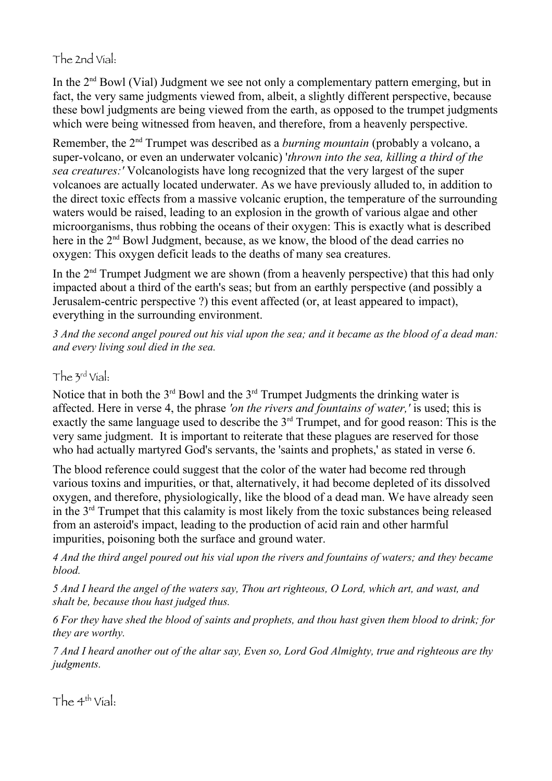# The 2nd Vial:

In the 2<sup>nd</sup> Bowl (Vial) Judgment we see not only a complementary pattern emerging, but in fact, the very same judgments viewed from, albeit, a slightly different perspective, because these bowl judgments are being viewed from the earth, as opposed to the trumpet judgments which were being witnessed from heaven, and therefore, from a heavenly perspective.

Remember, the 2nd Trumpet was described as a *burning mountain* (probably a volcano, a super-volcano, or even an underwater volcanic) '*thrown into the sea, killing a third of the sea creatures:'* Volcanologists have long recognized that the very largest of the super volcanoes are actually located underwater. As we have previously alluded to, in addition to the direct toxic effects from a massive volcanic eruption, the temperature of the surrounding waters would be raised, leading to an explosion in the growth of various algae and other microorganisms, thus robbing the oceans of their oxygen: This is exactly what is described here in the 2<sup>nd</sup> Bowl Judgment, because, as we know, the blood of the dead carries no oxygen: This oxygen deficit leads to the deaths of many sea creatures.

In the 2<sup>nd</sup> Trumpet Judgment we are shown (from a heavenly perspective) that this had only impacted about a third of the earth's seas; but from an earthly perspective (and possibly a Jerusalem-centric perspective ?) this event affected (or, at least appeared to impact), everything in the surrounding environment.

*3 And the second angel poured out his vial upon the sea; and it became as the blood of a dead man: and every living soul died in the sea.*

#### The 3rd Vial:

Notice that in both the  $3<sup>rd</sup>$  Bowl and the  $3<sup>rd</sup>$  Trumpet Judgments the drinking water is affected. Here in verse 4, the phrase *'on the rivers and fountains of water,'* is used; this is exactly the same language used to describe the 3rd Trumpet, and for good reason: This is the very same judgment. It is important to reiterate that these plagues are reserved for those who had actually martyred God's servants, the 'saints and prophets,' as stated in verse 6.

The blood reference could suggest that the color of the water had become red through various toxins and impurities, or that, alternatively, it had become depleted of its dissolved oxygen, and therefore, physiologically, like the blood of a dead man. We have already seen in the 3rd Trumpet that this calamity is most likely from the toxic substances being released from an asteroid's impact, leading to the production of acid rain and other harmful impurities, poisoning both the surface and ground water.

*4 And the third angel poured out his vial upon the rivers and fountains of waters; and they became blood.*

*5 And I heard the angel of the waters say, Thou art righteous, O Lord, which art, and wast, and shalt be, because thou hast judged thus.*

*6 For they have shed the blood of saints and prophets, and thou hast given them blood to drink; for they are worthy.*

*7 And I heard another out of the altar say, Even so, Lord God Almighty, true and righteous are thy judgments.*

The  $4<sup>th</sup>$  Vial: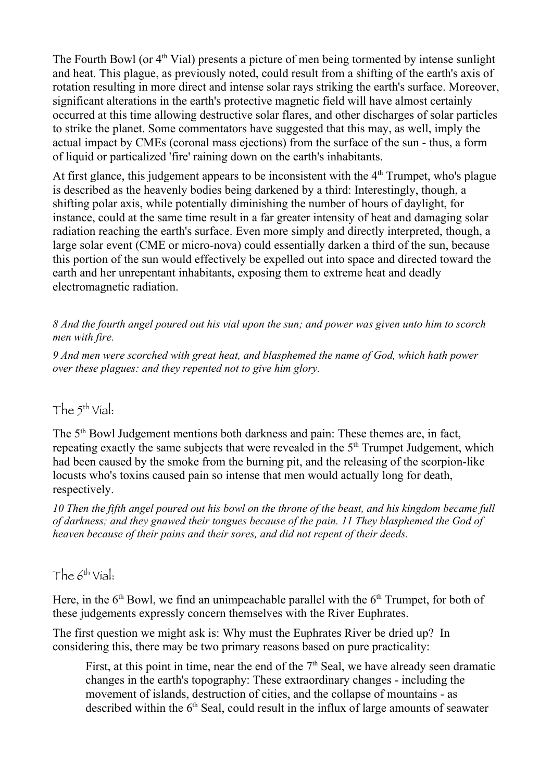The Fourth Bowl (or  $4<sup>th</sup>$  Vial) presents a picture of men being tormented by intense sunlight and heat. This plague, as previously noted, could result from a shifting of the earth's axis of rotation resulting in more direct and intense solar rays striking the earth's surface. Moreover, significant alterations in the earth's protective magnetic field will have almost certainly occurred at this time allowing destructive solar flares, and other discharges of solar particles to strike the planet. Some commentators have suggested that this may, as well, imply the actual impact by CMEs (coronal mass ejections) from the surface of the sun - thus, a form of liquid or particalized 'fire' raining down on the earth's inhabitants.

At first glance, this judgement appears to be inconsistent with the  $4<sup>th</sup>$  Trumpet, who's plague is described as the heavenly bodies being darkened by a third: Interestingly, though, a shifting polar axis, while potentially diminishing the number of hours of daylight, for instance, could at the same time result in a far greater intensity of heat and damaging solar radiation reaching the earth's surface. Even more simply and directly interpreted, though, a large solar event (CME or micro-nova) could essentially darken a third of the sun, because this portion of the sun would effectively be expelled out into space and directed toward the earth and her unrepentant inhabitants, exposing them to extreme heat and deadly electromagnetic radiation.

*8 And the fourth angel poured out his vial upon the sun; and power was given unto him to scorch men with fire.*

*9 And men were scorched with great heat, and blasphemed the name of God, which hath power over these plagues: and they repented not to give him glory.*

### The 5th Vial:

The 5<sup>th</sup> Bowl Judgement mentions both darkness and pain: These themes are, in fact, repeating exactly the same subjects that were revealed in the 5<sup>th</sup> Trumpet Judgement, which had been caused by the smoke from the burning pit, and the releasing of the scorpion-like locusts who's toxins caused pain so intense that men would actually long for death, respectively.

*10 Then the fifth angel poured out his bowl on the throne of the beast, and his kingdom became full of darkness; and they gnawed their tongues because of the pain. 11 They blasphemed the God of heaven because of their pains and their sores, and did not repent of their deeds.*

#### The  $6^{th}$  Vial:

Here, in the  $6<sup>th</sup>$  Bowl, we find an unimpeachable parallel with the  $6<sup>th</sup>$  Trumpet, for both of these judgements expressly concern themselves with the River Euphrates.

The first question we might ask is: Why must the Euphrates River be dried up? In considering this, there may be two primary reasons based on pure practicality:

First, at this point in time, near the end of the  $7<sup>th</sup>$  Seal, we have already seen dramatic changes in the earth's topography: These extraordinary changes - including the movement of islands, destruction of cities, and the collapse of mountains - as described within the  $6<sup>th</sup>$  Seal, could result in the influx of large amounts of seawater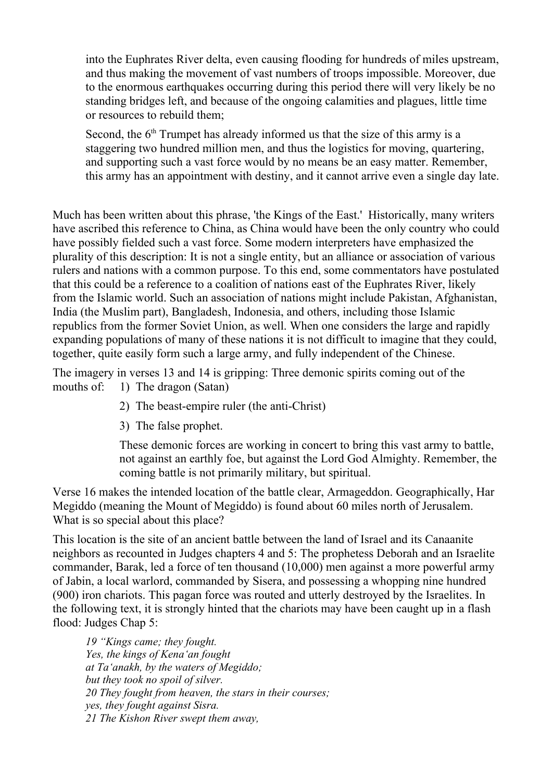into the Euphrates River delta, even causing flooding for hundreds of miles upstream, and thus making the movement of vast numbers of troops impossible. Moreover, due to the enormous earthquakes occurring during this period there will very likely be no standing bridges left, and because of the ongoing calamities and plagues, little time or resources to rebuild them;

Second, the  $6<sup>th</sup>$  Trumpet has already informed us that the size of this army is a staggering two hundred million men, and thus the logistics for moving, quartering, and supporting such a vast force would by no means be an easy matter. Remember, this army has an appointment with destiny, and it cannot arrive even a single day late.

Much has been written about this phrase, 'the Kings of the East.' Historically, many writers have ascribed this reference to China, as China would have been the only country who could have possibly fielded such a vast force. Some modern interpreters have emphasized the plurality of this description: It is not a single entity, but an alliance or association of various rulers and nations with a common purpose. To this end, some commentators have postulated that this could be a reference to a coalition of nations east of the Euphrates River, likely from the Islamic world. Such an association of nations might include Pakistan, Afghanistan, India (the Muslim part), Bangladesh, Indonesia, and others, including those Islamic republics from the former Soviet Union, as well. When one considers the large and rapidly expanding populations of many of these nations it is not difficult to imagine that they could, together, quite easily form such a large army, and fully independent of the Chinese.

The imagery in verses 13 and 14 is gripping: Three demonic spirits coming out of the mouths of: 1) The dragon (Satan)

- 2) The beast-empire ruler (the anti-Christ)
- 3) The false prophet.

These demonic forces are working in concert to bring this vast army to battle, not against an earthly foe, but against the Lord God Almighty. Remember, the coming battle is not primarily military, but spiritual.

Verse 16 makes the intended location of the battle clear, Armageddon. Geographically, Har Megiddo (meaning the Mount of Megiddo) is found about 60 miles north of Jerusalem. What is so special about this place?

This location is the site of an ancient battle between the land of Israel and its Canaanite neighbors as recounted in Judges chapters 4 and 5: The prophetess Deborah and an Israelite commander, Barak, led a force of ten thousand (10,000) men against a more powerful army of Jabin, a local warlord, commanded by Sisera, and possessing a whopping nine hundred (900) iron chariots. This pagan force was routed and utterly destroyed by the Israelites. In the following text, it is strongly hinted that the chariots may have been caught up in a flash flood: Judges Chap 5:

*19 "Kings came; they fought. Yes, the kings of Kena'an fought at Ta'anakh, by the waters of Megiddo; but they took no spoil of silver. 20 They fought from heaven, the stars in their courses; yes, they fought against Sisra. 21 The Kishon River swept them away,*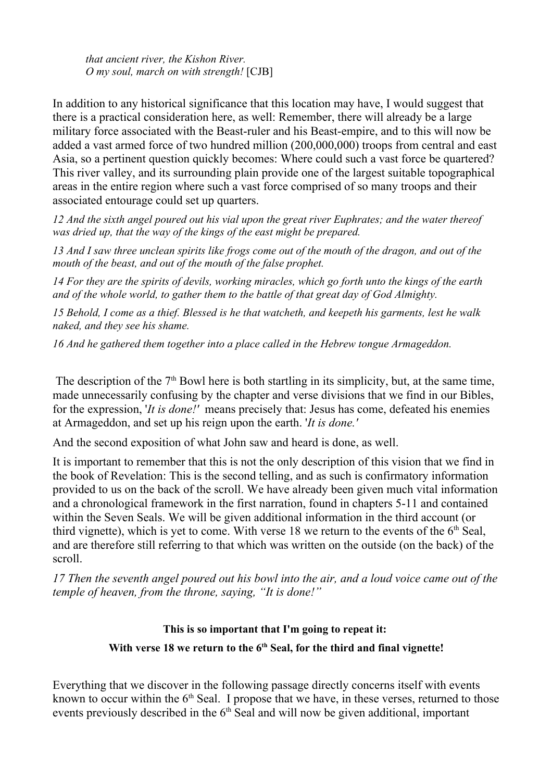*that ancient river, the Kishon River. O my soul, march on with strength!* [CJB]

In addition to any historical significance that this location may have, I would suggest that there is a practical consideration here, as well: Remember, there will already be a large military force associated with the Beast-ruler and his Beast-empire, and to this will now be added a vast armed force of two hundred million (200,000,000) troops from central and east Asia, so a pertinent question quickly becomes: Where could such a vast force be quartered? This river valley, and its surrounding plain provide one of the largest suitable topographical areas in the entire region where such a vast force comprised of so many troops and their associated entourage could set up quarters.

*12 And the sixth angel poured out his vial upon the great river Euphrates; and the water thereof was dried up, that the way of the kings of the east might be prepared.*

*13 And I saw three unclean spirits like frogs come out of the mouth of the dragon, and out of the mouth of the beast, and out of the mouth of the false prophet.*

*14 For they are the spirits of devils, working miracles, which go forth unto the kings of the earth and of the whole world, to gather them to the battle of that great day of God Almighty.*

*15 Behold, I come as a thief. Blessed is he that watcheth, and keepeth his garments, lest he walk naked, and they see his shame.*

*16 And he gathered them together into a place called in the Hebrew tongue Armageddon.*

The description of the  $7<sup>th</sup>$  Bowl here is both startling in its simplicity, but, at the same time, made unnecessarily confusing by the chapter and verse divisions that we find in our Bibles, for the expression, '*It is done!'* means precisely that: Jesus has come, defeated his enemies at Armageddon, and set up his reign upon the earth. '*It is done.'*

And the second exposition of what John saw and heard is done, as well.

It is important to remember that this is not the only description of this vision that we find in the book of Revelation: This is the second telling, and as such is confirmatory information provided to us on the back of the scroll. We have already been given much vital information and a chronological framework in the first narration, found in chapters 5-11 and contained within the Seven Seals. We will be given additional information in the third account (or third vignette), which is yet to come. With verse 18 we return to the events of the  $6<sup>th</sup>$  Seal, and are therefore still referring to that which was written on the outside (on the back) of the scroll.

*17 Then the seventh angel poured out his bowl into the air, and a loud voice came out of the temple of heaven, from the throne, saying, "It is done!"*

# **This is so important that I'm going to repeat it:**

#### With verse 18 we return to the 6<sup>th</sup> Seal, for the third and final vignette!

Everything that we discover in the following passage directly concerns itself with events known to occur within the  $6<sup>th</sup>$  Seal. I propose that we have, in these verses, returned to those events previously described in the  $6<sup>th</sup>$  Seal and will now be given additional, important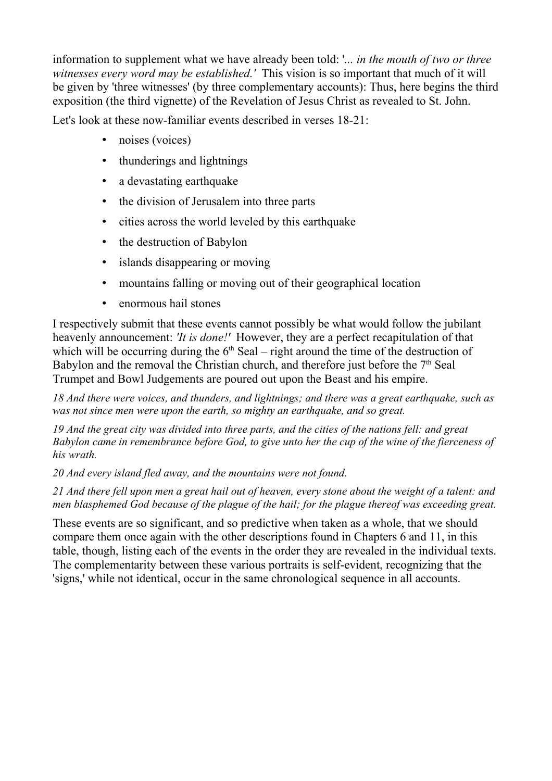information to supplement what we have already been told: '*... in the mouth of two or three witnesses every word may be established.'* This vision is so important that much of it will be given by 'three witnesses' (by three complementary accounts): Thus, here begins the third exposition (the third vignette) of the Revelation of Jesus Christ as revealed to St. John.

Let's look at these now-familiar events described in verses 18-21:

- noises (voices)
- thunderings and lightnings
- a devastating earthquake
- the division of Jerusalem into three parts
- cities across the world leveled by this earthquake
- the destruction of Babylon
- islands disappearing or moving
- mountains falling or moving out of their geographical location
- enormous hail stones

I respectively submit that these events cannot possibly be what would follow the jubilant heavenly announcement: *'It is done!'* However, they are a perfect recapitulation of that which will be occurring during the  $6<sup>th</sup>$  Seal – right around the time of the destruction of Babylon and the removal the Christian church, and therefore just before the  $7<sup>th</sup>$  Seal Trumpet and Bowl Judgements are poured out upon the Beast and his empire.

*18 And there were voices, and thunders, and lightnings; and there was a great earthquake, such as was not since men were upon the earth, so mighty an earthquake, and so great.*

*19 And the great city was divided into three parts, and the cities of the nations fell: and great Babylon came in remembrance before God, to give unto her the cup of the wine of the fierceness of his wrath.*

*20 And every island fled away, and the mountains were not found.*

*21 And there fell upon men a great hail out of heaven, every stone about the weight of a talent: and men blasphemed God because of the plague of the hail; for the plague thereof was exceeding great.*

These events are so significant, and so predictive when taken as a whole, that we should compare them once again with the other descriptions found in Chapters 6 and 11, in this table, though, listing each of the events in the order they are revealed in the individual texts. The complementarity between these various portraits is self-evident, recognizing that the 'signs,' while not identical, occur in the same chronological sequence in all accounts.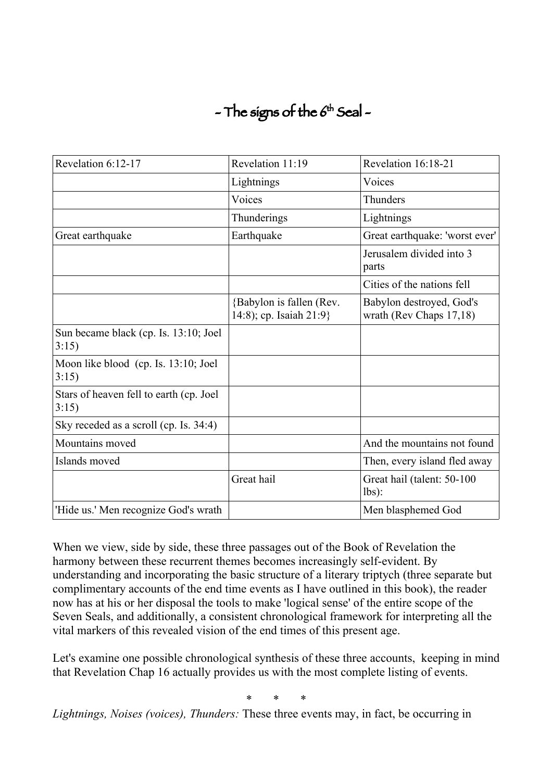# $-$  The signs of the  $6<sup>th</sup>$  Seal  $-$

| Revelation 6:12-17                                | Revelation 11:19                                    | Revelation 16:18-21                                 |
|---------------------------------------------------|-----------------------------------------------------|-----------------------------------------------------|
|                                                   | Lightnings                                          | Voices                                              |
|                                                   | Voices                                              | Thunders                                            |
|                                                   | Thunderings                                         | Lightnings                                          |
| Great earthquake                                  | Earthquake                                          | Great earthquake: 'worst ever'                      |
|                                                   |                                                     | Jerusalem divided into 3<br>parts                   |
|                                                   |                                                     | Cities of the nations fell                          |
|                                                   | {Babylon is fallen (Rev.<br>14:8); cp. Isaiah 21:9} | Babylon destroyed, God's<br>wrath (Rev Chaps 17,18) |
| Sun became black (cp. Is. 13:10; Joel<br>3:15)    |                                                     |                                                     |
| Moon like blood (cp. Is. 13:10; Joel<br>3:15)     |                                                     |                                                     |
| Stars of heaven fell to earth (cp. Joel)<br>3:15) |                                                     |                                                     |
| Sky receded as a scroll (cp. Is. 34:4)            |                                                     |                                                     |
| Mountains moved                                   |                                                     | And the mountains not found                         |
| Islands moved                                     |                                                     | Then, every island fled away                        |
|                                                   | Great hail                                          | Great hail (talent: 50-100<br>$lbs$ :               |
| 'Hide us.' Men recognize God's wrath              |                                                     | Men blasphemed God                                  |

When we view, side by side, these three passages out of the Book of Revelation the harmony between these recurrent themes becomes increasingly self-evident. By understanding and incorporating the basic structure of a literary triptych (three separate but complimentary accounts of the end time events as I have outlined in this book), the reader now has at his or her disposal the tools to make 'logical sense' of the entire scope of the Seven Seals, and additionally, a consistent chronological framework for interpreting all the vital markers of this revealed vision of the end times of this present age.

Let's examine one possible chronological synthesis of these three accounts, keeping in mind that Revelation Chap 16 actually provides us with the most complete listing of events.

\* \* \*

*Lightnings, Noises (voices), Thunders:* These three events may, in fact, be occurring in